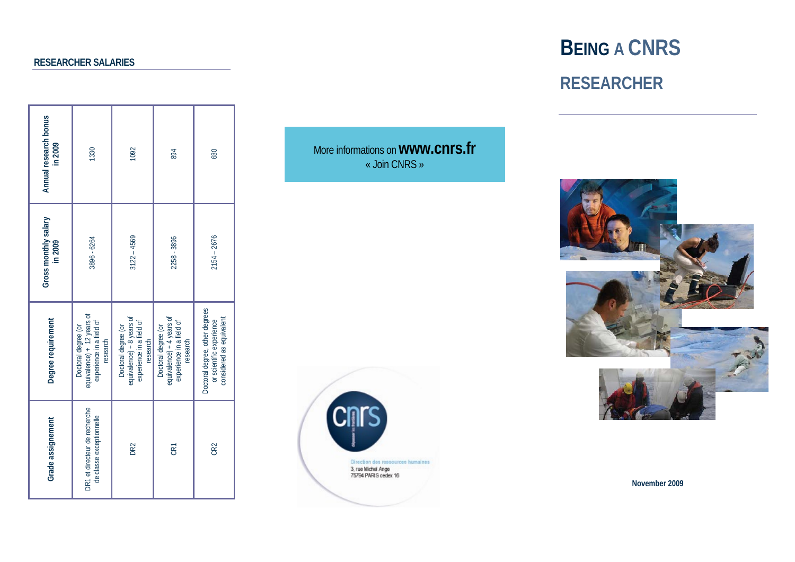## **RESEARCHER SALARIES**

| Annual research bonus<br>in 2009 | 1330                                                                                      | 1092                                                                                     | 894                                                                                      | 680                                                                                    |
|----------------------------------|-------------------------------------------------------------------------------------------|------------------------------------------------------------------------------------------|------------------------------------------------------------------------------------------|----------------------------------------------------------------------------------------|
| Gross monthly salary<br>in 2009  | 3896 - 6264                                                                               | $3122 - 4569$                                                                            | 2258 - 3896                                                                              | $2154 - 2676$                                                                          |
| Degree requirement               | equivalence) + 12 years of<br>experience in a field of<br>Doctoral degree (or<br>research | equivalence) + 8 years of<br>experience in a field of<br>Doctoral degree (or<br>research | equivalence) + 4 years of<br>experience in a field of<br>Doctoral degree (or<br>research | Doctoral degree, other degrees<br>considered as equivalent<br>or scientific experience |
| Grade assignement                | DR1 et directeur de recherche<br>de classe exceptionnelle                                 | DR2                                                                                      | CRT                                                                                      | CR <sub>2</sub>                                                                        |

More informations on **www.cnrs.fr** « Join CNRS »



# **BEING A CNRS RESEARCHER**



**November 2009**